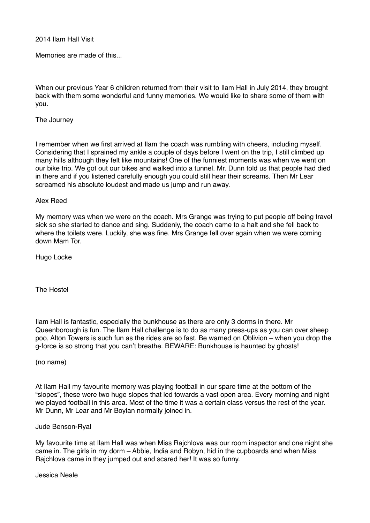2014 Ilam Hall Visit

Memories are made of this...

When our previous Year 6 children returned from their visit to Ilam Hall in July 2014, they brought back with them some wonderful and funny memories. We would like to share some of them with you.

### The Journey

I remember when we first arrived at Ilam the coach was rumbling with cheers, including myself. Considering that I sprained my ankle a couple of days before I went on the trip, I still climbed up many hills although they felt like mountains! One of the funniest moments was when we went on our bike trip. We got out our bikes and walked into a tunnel. Mr. Dunn told us that people had died in there and if you listened carefully enough you could still hear their screams. Then Mr Lear screamed his absolute loudest and made us jump and run away.

# Alex Reed

My memory was when we were on the coach. Mrs Grange was trying to put people off being travel sick so she started to dance and sing. Suddenly, the coach came to a halt and she fell back to where the toilets were. Luckily, she was fine. Mrs Grange fell over again when we were coming down Mam Tor.

Hugo Locke

The Hostel

Ilam Hall is fantastic, especially the bunkhouse as there are only 3 dorms in there. Mr Queenborough is fun. The Ilam Hall challenge is to do as many press-ups as you can over sheep poo, Alton Towers is such fun as the rides are so fast. Be warned on Oblivion – when you drop the g-force is so strong that you can't breathe. BEWARE: Bunkhouse is haunted by ghosts!

(no name)

At Ilam Hall my favourite memory was playing football in our spare time at the bottom of the "slopes", these were two huge slopes that led towards a vast open area. Every morning and night we played football in this area. Most of the time it was a certain class versus the rest of the year. Mr Dunn, Mr Lear and Mr Boylan normally joined in.

#### Jude Benson-Ryal

My favourite time at Ilam Hall was when Miss Rajchlova was our room inspector and one night she came in. The girls in my dorm – Abbie, India and Robyn, hid in the cupboards and when Miss Rajchlova came in they jumped out and scared her! It was so funny.

Jessica Neale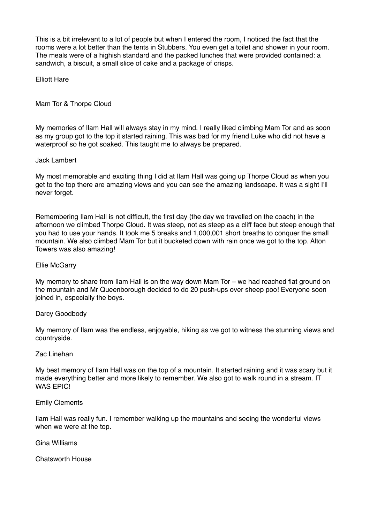This is a bit irrelevant to a lot of people but when I entered the room, I noticed the fact that the rooms were a lot better than the tents in Stubbers. You even get a toilet and shower in your room. The meals were of a highish standard and the packed lunches that were provided contained: a sandwich, a biscuit, a small slice of cake and a package of crisps.

Elliott Hare

Mam Tor & Thorpe Cloud

My memories of Ilam Hall will always stay in my mind. I really liked climbing Mam Tor and as soon as my group got to the top it started raining. This was bad for my friend Luke who did not have a waterproof so he got soaked. This taught me to always be prepared.

# Jack Lambert

My most memorable and exciting thing I did at Ilam Hall was going up Thorpe Cloud as when you get to the top there are amazing views and you can see the amazing landscape. It was a sight I'll never forget.

Remembering Ilam Hall is not difficult, the first day (the day we travelled on the coach) in the afternoon we climbed Thorpe Cloud. It was steep, not as steep as a cliff face but steep enough that you had to use your hands. It took me 5 breaks and 1,000,001 short breaths to conquer the small mountain. We also climbed Mam Tor but it bucketed down with rain once we got to the top. Alton Towers was also amazing!

### Ellie McGarry

My memory to share from Ilam Hall is on the way down Mam Tor – we had reached flat ground on the mountain and Mr Queenborough decided to do 20 push-ups over sheep poo! Everyone soon joined in, especially the boys.

#### Darcy Goodbody

My memory of Ilam was the endless, enjoyable, hiking as we got to witness the stunning views and countryside.

#### Zac Linehan

My best memory of Ilam Hall was on the top of a mountain. It started raining and it was scary but it made everything better and more likely to remember. We also got to walk round in a stream. IT WAS EPIC!

#### Emily Clements

Ilam Hall was really fun. I remember walking up the mountains and seeing the wonderful views when we were at the top.

Gina Williams

Chatsworth House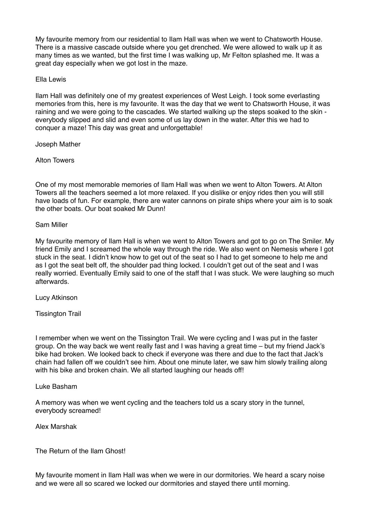My favourite memory from our residential to Ilam Hall was when we went to Chatsworth House. There is a massive cascade outside where you get drenched. We were allowed to walk up it as many times as we wanted, but the first time I was walking up, Mr Felton splashed me. It was a great day especially when we got lost in the maze.

Ella Lewis

Ilam Hall was definitely one of my greatest experiences of West Leigh. I took some everlasting memories from this, here is my favourite. It was the day that we went to Chatsworth House, it was raining and we were going to the cascades. We started walking up the steps soaked to the skin everybody slipped and slid and even some of us lay down in the water. After this we had to conquer a maze! This day was great and unforgettable!

Joseph Mather

Alton Towers

One of my most memorable memories of Ilam Hall was when we went to Alton Towers. At Alton Towers all the teachers seemed a lot more relaxed. If you dislike or enjoy rides then you will still have loads of fun. For example, there are water cannons on pirate ships where your aim is to soak the other boats. Our boat soaked Mr Dunn!

Sam Miller

My favourite memory of Ilam Hall is when we went to Alton Towers and got to go on The Smiler. My friend Emily and I screamed the whole way through the ride. We also went on Nemesis where I got stuck in the seat. I didn't know how to get out of the seat so I had to get someone to help me and as I got the seat belt off, the shoulder pad thing locked. I couldn't get out of the seat and I was really worried. Eventually Emily said to one of the staff that I was stuck. We were laughing so much afterwards.

Lucy Atkinson

Tissington Trail

I remember when we went on the Tissington Trail. We were cycling and I was put in the faster group. On the way back we went really fast and I was having a great time – but my friend Jack's bike had broken. We looked back to check if everyone was there and due to the fact that Jack's chain had fallen off we couldn't see him. About one minute later, we saw him slowly trailing along with his bike and broken chain. We all started laughing our heads off!

Luke Basham

A memory was when we went cycling and the teachers told us a scary story in the tunnel, everybody screamed!

Alex Marshak

The Return of the Ilam Ghost!

My favourite moment in Ilam Hall was when we were in our dormitories. We heard a scary noise and we were all so scared we locked our dormitories and stayed there until morning.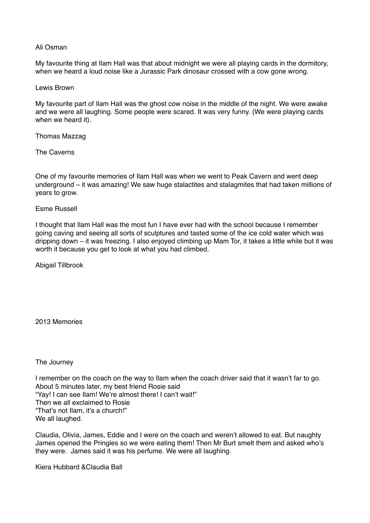### Ali Osman

My favourite thing at Ilam Hall was that about midnight we were all playing cards in the dormitory, when we heard a loud noise like a Jurassic Park dinosaur crossed with a cow gone wrong.

#### Lewis Brown

My favourite part of Ilam Hall was the ghost cow noise in the middle of the night. We were awake and we were all laughing. Some people were scared. It was very funny. (We were playing cards when we heard it).

#### Thomas Mazzag

The Caverns

One of my favourite memories of Ilam Hall was when we went to Peak Cavern and went deep underground – it was amazing! We saw huge stalactites and stalagmites that had taken millions of years to grow.

# Esme Russell

I thought that Ilam Hall was the most fun I have ever had with the school because I remember going caving and seeing all sorts of sculptures and tasted some of the ice cold water which was dripping down – it was freezing. I also enjoyed climbing up Mam Tor, it takes a little while but it was worth it because you get to look at what you had climbed.

Abigail Tillbrook

2013 Memories

#### The Journey

I remember on the coach on the way to Ilam when the coach driver said that it wasn't far to go. About 5 minutes later, my best friend Rosie said "Yay! I can see Ilam! We're almost there! I can't wait!" Then we all exclaimed to Rosie "That's not Ilam, it's a church!" We all laughed.

Claudia, Olivia, James, Eddie and I were on the coach and weren't allowed to eat. But naughty James opened the Pringles so we were eating them! Then Mr Burt smelt them and asked who's they were. James said it was his perfume. We were all laughing.

Kiera Hubbard &Claudia Ball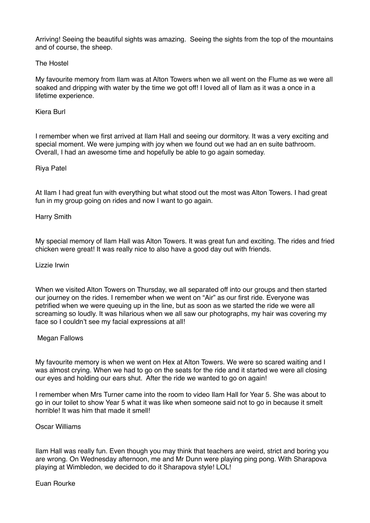Arriving! Seeing the beautiful sights was amazing. Seeing the sights from the top of the mountains and of course, the sheep.

# The Hostel

My favourite memory from Ilam was at Alton Towers when we all went on the Flume as we were all soaked and dripping with water by the time we got off! I loved all of Ilam as it was a once in a lifetime experience.

#### Kiera Burl

I remember when we first arrived at Ilam Hall and seeing our dormitory. It was a very exciting and special moment. We were jumping with joy when we found out we had an en suite bathroom. Overall, I had an awesome time and hopefully be able to go again someday.

# Riya Patel

At Ilam I had great fun with everything but what stood out the most was Alton Towers. I had great fun in my group going on rides and now I want to go again.

Harry Smith

My special memory of Ilam Hall was Alton Towers. It was great fun and exciting. The rides and fried chicken were great! It was really nice to also have a good day out with friends.

Lizzie Irwin

When we visited Alton Towers on Thursday, we all separated off into our groups and then started our journey on the rides. I remember when we went on "Air" as our first ride. Everyone was petrified when we were queuing up in the line, but as soon as we started the ride we were all screaming so loudly. It was hilarious when we all saw our photographs, my hair was covering my face so I couldn't see my facial expressions at all!

#### Megan Fallows

My favourite memory is when we went on Hex at Alton Towers. We were so scared waiting and I was almost crying. When we had to go on the seats for the ride and it started we were all closing our eyes and holding our ears shut. After the ride we wanted to go on again!

I remember when Mrs Turner came into the room to video Ilam Hall for Year 5. She was about to go in our toilet to show Year 5 what it was like when someone said not to go in because it smelt horrible! It was him that made it smell!

Oscar Williams

Ilam Hall was really fun. Even though you may think that teachers are weird, strict and boring you are wrong. On Wednesday afternoon, me and Mr Dunn were playing ping pong. With Sharapova playing at Wimbledon, we decided to do it Sharapova style! LOL!

#### Euan Rourke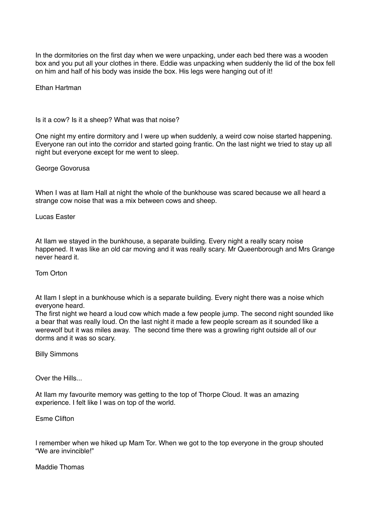In the dormitories on the first day when we were unpacking, under each bed there was a wooden box and you put all your clothes in there. Eddie was unpacking when suddenly the lid of the box fell on him and half of his body was inside the box. His legs were hanging out of it!

Ethan Hartman

Is it a cow? Is it a sheep? What was that noise?

One night my entire dormitory and I were up when suddenly, a weird cow noise started happening. Everyone ran out into the corridor and started going frantic. On the last night we tried to stay up all night but everyone except for me went to sleep.

George Govorusa

When I was at Ilam Hall at night the whole of the bunkhouse was scared because we all heard a strange cow noise that was a mix between cows and sheep.

Lucas Easter

At Ilam we stayed in the bunkhouse, a separate building. Every night a really scary noise happened. It was like an old car moving and it was really scary. Mr Queenborough and Mrs Grange never heard it.

Tom Orton

At Ilam I slept in a bunkhouse which is a separate building. Every night there was a noise which everyone heard.

The first night we heard a loud cow which made a few people jump. The second night sounded like a bear that was really loud. On the last night it made a few people scream as it sounded like a werewolf but it was miles away. The second time there was a growling right outside all of our dorms and it was so scary.

Billy Simmons

Over the Hills...

At Ilam my favourite memory was getting to the top of Thorpe Cloud. It was an amazing experience. I felt like I was on top of the world.

Esme Clifton

I remember when we hiked up Mam Tor. When we got to the top everyone in the group shouted "We are invincible!"

Maddie Thomas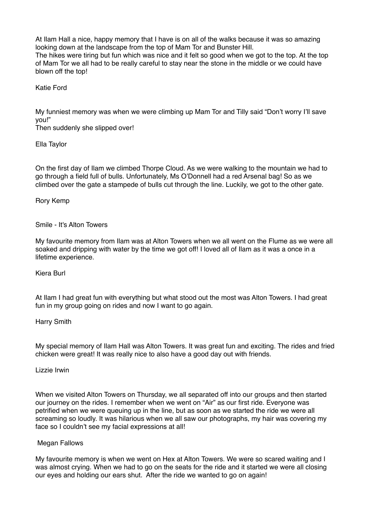At Ilam Hall a nice, happy memory that I have is on all of the walks because it was so amazing looking down at the landscape from the top of Mam Tor and Bunster Hill. The hikes were tiring but fun which was nice and it felt so good when we got to the top. At the top of Mam Tor we all had to be really careful to stay near the stone in the middle or we could have blown off the top!

Katie Ford

My funniest memory was when we were climbing up Mam Tor and Tilly said "Don't worry I'll save you!"

Then suddenly she slipped over!

Ella Taylor

On the first day of Ilam we climbed Thorpe Cloud. As we were walking to the mountain we had to go through a field full of bulls. Unfortunately, Ms O'Donnell had a red Arsenal bag! So as we climbed over the gate a stampede of bulls cut through the line. Luckily, we got to the other gate.

Rory Kemp

# Smile - It's Alton Towers

My favourite memory from Ilam was at Alton Towers when we all went on the Flume as we were all soaked and dripping with water by the time we got off! I loved all of Ilam as it was a once in a lifetime experience.

Kiera Burl

At Ilam I had great fun with everything but what stood out the most was Alton Towers. I had great fun in my group going on rides and now I want to go again.

Harry Smith

My special memory of Ilam Hall was Alton Towers. It was great fun and exciting. The rides and fried chicken were great! It was really nice to also have a good day out with friends.

Lizzie Irwin

When we visited Alton Towers on Thursday, we all separated off into our groups and then started our journey on the rides. I remember when we went on "Air" as our first ride. Everyone was petrified when we were queuing up in the line, but as soon as we started the ride we were all screaming so loudly. It was hilarious when we all saw our photographs, my hair was covering my face so I couldn't see my facial expressions at all!

# Megan Fallows

My favourite memory is when we went on Hex at Alton Towers. We were so scared waiting and I was almost crying. When we had to go on the seats for the ride and it started we were all closing our eyes and holding our ears shut. After the ride we wanted to go on again!